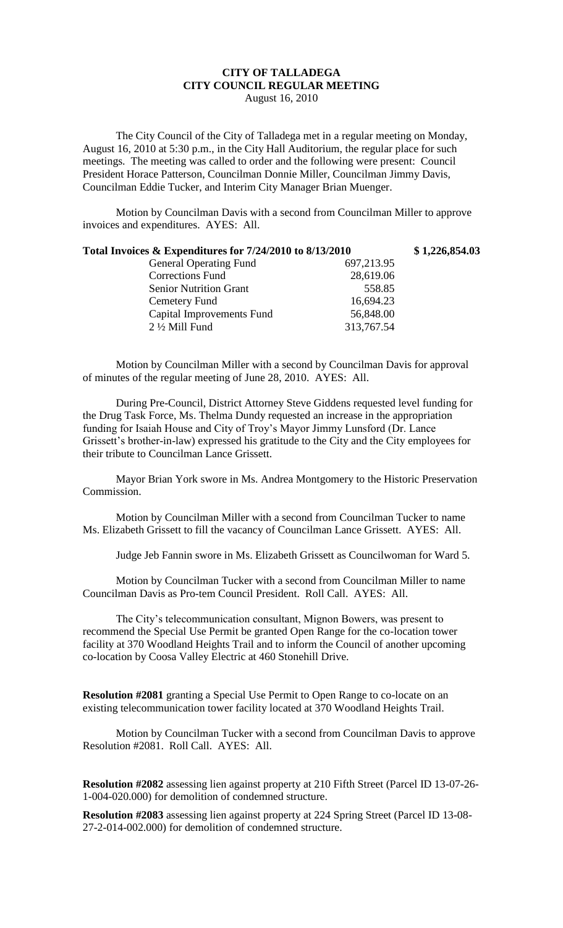## **CITY OF TALLADEGA CITY COUNCIL REGULAR MEETING** August 16, 2010

The City Council of the City of Talladega met in a regular meeting on Monday, August 16, 2010 at 5:30 p.m., in the City Hall Auditorium, the regular place for such meetings. The meeting was called to order and the following were present: Council President Horace Patterson, Councilman Donnie Miller, Councilman Jimmy Davis, Councilman Eddie Tucker, and Interim City Manager Brian Muenger.

Motion by Councilman Davis with a second from Councilman Miller to approve invoices and expenditures. AYES: All.

| Total Invoices & Expenditures for 7/24/2010 to 8/13/2010 |            | \$1,226,854.03 |
|----------------------------------------------------------|------------|----------------|
| <b>General Operating Fund</b>                            | 697,213.95 |                |
| <b>Corrections Fund</b>                                  | 28,619.06  |                |
| <b>Senior Nutrition Grant</b>                            | 558.85     |                |
| Cemetery Fund                                            | 16,694.23  |                |
| <b>Capital Improvements Fund</b>                         | 56,848.00  |                |
| $2\frac{1}{2}$ Mill Fund                                 | 313,767.54 |                |
|                                                          |            |                |

Motion by Councilman Miller with a second by Councilman Davis for approval of minutes of the regular meeting of June 28, 2010. AYES: All.

During Pre-Council, District Attorney Steve Giddens requested level funding for the Drug Task Force, Ms. Thelma Dundy requested an increase in the appropriation funding for Isaiah House and City of Troy's Mayor Jimmy Lunsford (Dr. Lance Grissett's brother-in-law) expressed his gratitude to the City and the City employees for their tribute to Councilman Lance Grissett.

Mayor Brian York swore in Ms. Andrea Montgomery to the Historic Preservation Commission.

Motion by Councilman Miller with a second from Councilman Tucker to name Ms. Elizabeth Grissett to fill the vacancy of Councilman Lance Grissett. AYES: All.

Judge Jeb Fannin swore in Ms. Elizabeth Grissett as Councilwoman for Ward 5.

Motion by Councilman Tucker with a second from Councilman Miller to name Councilman Davis as Pro-tem Council President. Roll Call. AYES: All.

The City's telecommunication consultant, Mignon Bowers, was present to recommend the Special Use Permit be granted Open Range for the co-location tower facility at 370 Woodland Heights Trail and to inform the Council of another upcoming co-location by Coosa Valley Electric at 460 Stonehill Drive.

**Resolution #2081** granting a Special Use Permit to Open Range to co-locate on an existing telecommunication tower facility located at 370 Woodland Heights Trail.

Motion by Councilman Tucker with a second from Councilman Davis to approve Resolution #2081. Roll Call. AYES: All.

**Resolution #2082** assessing lien against property at 210 Fifth Street (Parcel ID 13-07-26- 1-004-020.000) for demolition of condemned structure.

**Resolution #2083** assessing lien against property at 224 Spring Street (Parcel ID 13-08- 27-2-014-002.000) for demolition of condemned structure.